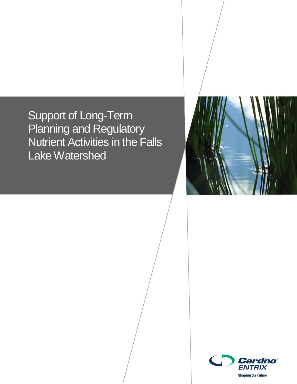Support of Long-Term Planning and Regulatory Nutrient Activities in the Falls Lake Watershed



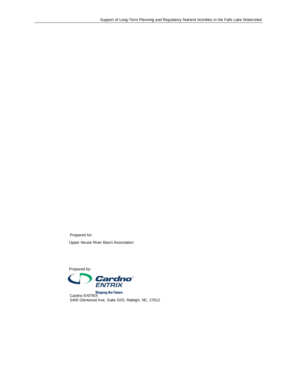Prepared for: Upper Neuse River Basin Association

Prepared by:



Cardno ENTRIX 5400 Glenwood Ave, Suite G03, Raleigh, NC, 27612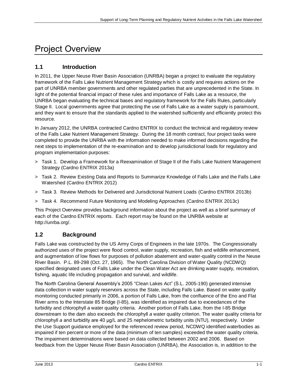# Project Overview

# **1.1 Introduction**

In 2011, the Upper Neuse River Basin Association (UNRBA) began a project to evaluate the regulatory framework of the Falls Lake Nutrient Management Strategy which is costly and requires actions on the part of UNRBA member governments and other regulated parties that are unprecedented in the State. In light of the potential financial impact of these rules and importance of Falls Lake as a resource, the UNRBA began evaluating the technical bases and regulatory framework for the Falls Rules, particularly Stage II. Local governments agree that protecting the use of Falls Lake as a water supply is paramount, and they want to ensure that the standards applied to the watershed sufficiently and efficiently protect this resource.

In January 2012, the UNRBA contracted Cardno ENTRIX to conduct the technical and regulatory review of the Falls Lake Nutrient Management Strategy. During the 18 month contract, four project tasks were completed to provide the UNRBA with the information needed to make informed decisions regarding the next steps to implementation of the re-examination and to develop jurisdictional loads for regulatory and program implementation purposes:

- > Task 1. Develop a Framework for a Reexamination of Stage II of the Falls Lake Nutrient Management Strategy (Cardno ENTRIX 2013a)
- > Task 2. Review Existing Data and Reports to Summarize Knowledge of Falls Lake and the Falls Lake Watershed (Cardno ENTRIX 2012)
- > Task 3. Review Methods for Delivered and Jurisdictional Nutrient Loads (Cardno ENTRIX 2013b)
- > Task 4. Recommend Future Monitoring and Modeling Approaches (Cardno ENTRIX 2013c)

This Project Overview provides background information about the project as well as a brief summary of each of the Cardno ENTRIX reports. Each report may be found on the UNRBA website at http://unrba.org/.

## **1.2 Background**

Falls Lake was constructed by the US Army Corps of Engineers in the late 1970s. The Congressionally authorized uses of the project were flood control, water supply, recreation, fish and wildlife enhancement, and augmentation of low flows for purposes of pollution abatement and water-quality control in the Neuse River Basin. P.L. 89-298 (Oct. 27, 1965). The North Carolina Division of Water Quality (NCDWQ) specified designated uses of Falls Lake under the Clean Water Act are drinking water supply, recreation, fishing, aquatic life including propagation and survival, and wildlife.

The North Carolina General Assembly's 2005 "Clean Lakes Act" (S.L. 2005-190) generated intensive data collection in water supply reservoirs across the State, including Falls Lake. Based on water quality monitoring conducted primarily in 2006, a portion of Falls Lake, from the confluence of the Eno and Flat River arms to the Interstate 85 Bridge (I-85), was identified as impaired due to exceedances of the turbidity and chlorophyll *a* water quality criteria. Another portion of Falls Lake, from the I-85 Bridge downstream to the dam also exceeds the chlorophyll *a* water quality criterion. The water quality criteria for chlorophyll *a* and turbidity are 40 μg/L and 25 nephelometric turbidity units (NTU), respectively. Under the Use Support guidance employed for the referenced review period, NCDWQ identified waterbodies as impaired if ten percent or more of the data (minimum of ten samples) exceeded the water quality criteria. The impairment determinations were based on data collected between 2002 and 2006. Based on feedback from the Upper Neuse River Basin Association (UNRBA), the Association is, in addition to the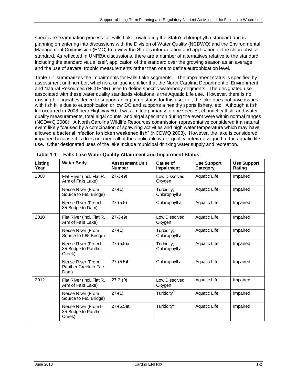specific re-examination process for Falls Lake, evaluating the State's chlorophyll *a* standard and is planning on entering into discussions with the Division of Water Quality (NCDWQ) and the Environmental Management Commission (EMC) to review the State's interpretation and application of the chlorophyll *a* standard. As reflected in UNRBA discussions, there are a number of alternatives relative to the standard including the standard value itself, application of the standard over the growing season as an average, and the use of several trophic measurements rather than one to define eutrophication level.

Table 1-1 summarizes the impairments for Falls Lake segments. The impairment status is specified by assessment unit number, which is a unique identifier that the North Carolina Department of Environment and Natural Resources (NCDENR) uses to define specific waterbody segments. The designated use associated with these water quality standards violations is the Aquatic Life use. However, there is no existing biological evidence to support an impaired status for this use; i.e., the lake does not have issues with fish kills due to eutrophication or low DO and supports a healthy sports fishery, etc. Although a fish kill occurred in 2008 near Highway 50, it was limited primarily to one species, channel catfish, and water quality measurements, total algal counts, and algal speciation during the event were within normal ranges (NCDWQ 2008). A North Carolina Wildlife Resources commission representative considered it a natural event likely "caused by a combination of spawning activities and high water temperature which may have allowed a bacterial infection to sicken weakened fish" (NCDWQ 2008). However, the lake is considered impaired because it is does not meet all of the applicable water quality criteria assigned to the aquatic life use. Other designated uses of the lake include municipal drinking water supply and recreation.

| Listing<br>Year | <b>Water Body</b>                                      | <b>Assessment Unit</b><br><b>Number</b> | Cause of<br>Impairment      | <b>Use Support</b><br>Category | <b>Use Support</b><br>Rating |
|-----------------|--------------------------------------------------------|-----------------------------------------|-----------------------------|--------------------------------|------------------------------|
| 2008            | Flat River (incl. Flat R.<br>Arm of Falls Lake)        | $27 - 3 - (9)$                          | Low Dissolved<br>Oxygen     | Aquatic Life                   | Impaired                     |
|                 | Neuse River (From<br>Source to I-85 Bridge)            | $27-(1)$                                | Turbidity;<br>Chlorophyll a | <b>Aquatic Life</b>            | Impaired                     |
|                 | Neuse River (From I-<br>85 Bridge to Dam)              | $27-(5.5)$                              | Chlorophyll a               | Aquatic Life                   | Impaired                     |
| 2010            | Flat River (incl. Flat R.<br>Arm of Falls Lake)        | $27-3-(9)$                              | Low Dissolved<br>Oxygen     | Aquatic Life                   | Impaired                     |
|                 | Neuse River (From<br>Source to I-85 Bridge)            | $27-(1)$                                | Turbidity;<br>Chlorophyll a | Aquatic Life                   | Impaired                     |
|                 | Neuse River (From I-<br>85 Bridge to Panther<br>Creek) | $27-(5.5)a$                             | Turbidity;<br>Chlorophyll a | Aquatic Life                   | Impaired                     |
|                 | Neuse River (From<br>Panther Creek to Falls<br>Dam)    | $27-(5.5)$ b                            | Chlorophyll a               | Aquatic Life                   | Impaired                     |
| 2012            | Flat River (incl. Flat R.<br>Arm of Falls Lake)        | $27 - 3 - (9)$                          | Low Dissolved<br>Oxygen     | Aquatic Life                   | Impaired                     |
|                 | Neuse River (From<br>Source to I-85 Bridge)            | $27-(1)$                                | Turbidity <sup>1</sup>      | Aquatic Life                   | Impaired                     |
|                 | Neuse River (From I-<br>85 Bridge to Panther<br>Creek) | $27-(5.5)a$                             | Turbidity <sup>1</sup>      | Aquatic Life                   | Impaired                     |

**Table 1-1 Falls Lake Water Quality Attainment and Impairment Status**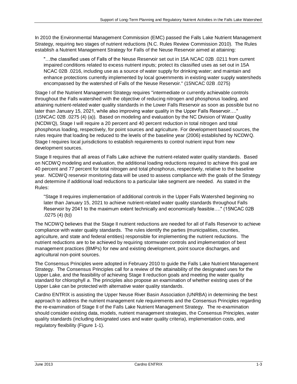In 2010 the Environmental Management Commission (EMC) passed the Falls Lake Nutrient Management Strategy, requiring two stages of nutrient reductions (N.C. Rules Review Commission 2010). The Rules establish a Nutrient Management Strategy for Falls of the Neuse Reservoir aimed at attaining:

"…the classified uses of Falls of the Neuse Reservoir set out in 15A NCAC 02B .0211 from current impaired conditions related to excess nutrient inputs; protect its classified uses as set out in 15A NCAC 02B .0216, including use as a source of water supply for drinking water; and maintain and enhance protections currently implemented by local governments in existing water supply watersheds encompassed by the watershed of Falls of the Neuse Reservoir." (15NCAC 02B .0275)

Stage I of the Nutrient Management Strategy requires "intermediate or currently achievable controls throughout the Falls watershed with the objective of reducing nitrogen and phosphorus loading, and attaining nutrient-related water quality standards in the Lower Falls Reservoir as soon as possible but no later than January 15, 2021, while also improving water quality in the Upper Falls Reservoir…." (15NCAC 02B .0275 (4) (a)). Based on modeling and evaluation by the NC Division of Water Quality (NCDWQ), Stage I will require a 20 percent and 40 percent reduction in total nitrogen and total phosphorus loading, respectively, for point sources and agriculture. For development based sources, the rules require that loading be reduced to the levels of the baseline year (2006) established by NCDWQ. Stage I requires local jurisdictions to establish requirements to control nutrient input from new development sources.

Stage II requires that all areas of Falls Lake achieve the nutrient-related water quality standards. Based on NCDWQ modeling and evaluation, the additional loading reductions required to achieve this goal are 40 percent and 77 percent for total nitrogen and total phosphorus, respectively, relative to the baseline year. NCDWQ reservoir monitoring data will be used to assess compliance with the goals of the Strategy and determine if additional load reductions to a particular lake segment are needed. As stated in the Rules:

"Stage II requires implementation of additional controls in the Upper Falls Watershed beginning no later than January 15, 2021 to achieve nutrient-related water quality standards throughout Falls Reservoir by 2041 to the maximum extent technically and economically feasible…." (15NCAC 02B .0275 (4) (b))

The NCDWQ believes that the Stage II nutrient reductions are needed for all of Falls Reservoir to achieve compliance with water quality standards. The rules identify the parties (municipalities, counties, agriculture, and state and federal entities) responsible for implementing the nutrient reductions. The nutrient reductions are to be achieved by requiring stormwater controls and implementation of best management practices (BMPs) for new and existing development, point source discharges, and agricultural non-point sources.

The Consensus Principles were adopted in February 2010 to guide the Falls Lake Nutrient Management Strategy. The Consensus Principles call for a review of the attainability of the designated uses for the Upper Lake, and the feasibility of achieving Stage II reduction goals and meeting the water quality standard for chlorophyll *a*. The principles also propose an examination of whether existing uses of the Upper Lake can be protected with alternative water quality standards.

Cardno ENTRIX is assisting the Upper Neuse River Basin Association (UNRBA) in determining the best approach to address the nutrient management rule requirements and the Consensus Principles regarding the re-examination of Stage II of the Falls Lake Nutrient Management Strategy. The re-examination should consider existing data, models, nutrient management strategies, the Consensus Principles, water quality standards (including designated uses and water quality criteria), implementation costs, and regulatory flexibility (Figure 1-1).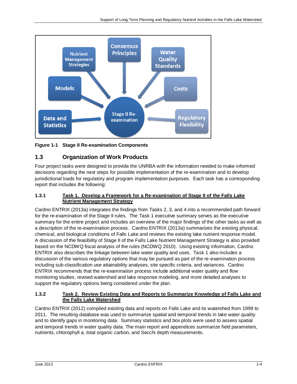

**Figure 1-1 Stage II Re-examination Components** 

## **1.3 Organization of Work Products**

Four project tasks were designed to provide the UNRBA with the information needed to make informed decisions regarding the next steps for possible implementation of the re-examination and to develop jurisdictional loads for regulatory and program implementation purposes. Each task has a corresponding report that includes the following:

#### **1.3.1 Task 1. Develop a Framework for a Re-examination of Stage II of the Falls Lake Nutrient Management Strategy**

Cardno ENTRIX (2013a) integrates the findings from Tasks 2, 3, and 4 into a recommended path forward for the re-examination of the Stage II rules. The Task 1 executive summary serves as the executive summary for the entire project and includes an overview of the major findings of the other tasks as well as a description of the re-examination process. Cardno ENTRIX (2013a) summarizes the existing physical, chemical, and biological conditions of Falls Lake and reviews the existing lake nutrient response model. A discussion of the feasibility of Stage II of the Falls Lake Nutrient Management Strategy is also provided based on the NCDWQ fiscal analysis of the rules (NCDWQ 2010). Using existing information, Cardno ENTRIX also describes the linkage between lake water quality and uses. Task 1 also includes a discussion of the various regulatory options that may be pursued as part of the re-examination process including sub-classification use attainability analyses, site specific criteria, and variances. Cardno ENTRIX recommends that the re-examination process include additional water quality and flow monitoring studies, revised watershed and lake response modeling, and more detailed analyses to support the regulatory options being considered under the plan.

#### **1.3.2 Task 2. Review Existing Data and Reports to Summarize Knowledge of Falls Lake and the Falls Lake Watershed**

Cardno ENTRIX (2012) compiled existing data and reports on Falls Lake and its watershed from 1999 to 2011. The resulting database was used to summarize spatial and temporal trends in lake water quality and to identify gaps in monitoring data. Summary statistics and box plots were used to assess spatial and temporal trends in water quality data. The main report and appendices summarize field parameters, nutrients, chlorophyll *a*, total organic carbon, and Secchi depth measurements.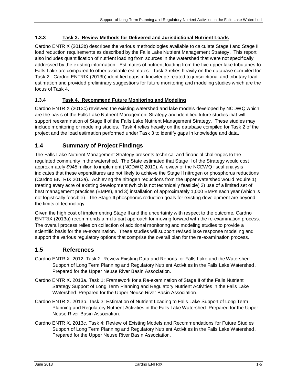## **1.3.3 Task 3. Review Methods for Delivered and Jurisdictional Nutrient Loads**

Cardno ENTRIX (2013b) describes the various methodologies available to calculate Stage I and Stage II load reduction requirements as described by the Falls Lake Nutrient Management Strategy. This report also includes quantification of nutrient loading from sources in the watershed that were not specifically addressed by the existing information. Estimates of nutrient loading from the five upper lake tributaries to Falls Lake are compared to other available estimates. Task 3 relies heavily on the database compiled for Task 2. Cardno ENTRIX (2013b) identified gaps in knowledge related to jurisdictional and tributary load estimation and provided preliminary suggestions for future monitoring and modeling studies which are the focus of Task 4.

## **1.3.4 Task 4. Recommend Future Monitoring and Modeling**

Cardno ENTRIX (2013c) reviewed the existing watershed and lake models developed by NCDWQ which are the basis of the Falls Lake Nutrient Management Strategy and identified future studies that will support reexamination of Stage II of the Falls Lake Nutrient Management Strategy. These studies may include monitoring or modeling studies. Task 4 relies heavily on the database compiled for Task 2 of the project and the load estimation performed under Task 3 to identify gaps in knowledge and data.

## **1.4 Summary of Project Findings**

The Falls Lake Nutrient Management Strategy presents technical and financial challenges to the regulated community in the watershed. The State estimated that Stage II of the Strategy would cost approximately \$945 million to implement (NCDWQ 2010). A review of the NCDWQ fiscal analysis indicates that these expenditures are not likely to achieve the Stage II nitrogen or phosphorus reductions (Cardno ENTRIX 2013a). Achieving the nitrogen reductions from the upper watershed would require 1) treating every acre of existing development (which is not technically feasible) 2) use of a limited set of best management practices (BMPs), and 3) installation of approximately 1,000 BMPs each year (which is not logistically feasible). The Stage II phosphorus reduction goals for existing development are beyond the limits of technology.

Given the high cost of implementing Stage II and the uncertainty with respect to the outcome, Cardno ENTRIX (2013a) recommends a multi-part approach for moving forward with the re-examination process. The overall process relies on collection of additional monitoring and modeling studies to provide a scientific basis for the re-examination. These studies will support revised lake response modeling and support the various regulatory options that comprise the overall plan for the re-examination process.

## **1.5 References**

- Cardno ENTRIX. 2012. Task 2: Review Existing Data and Reports for Falls Lake and the Watershed Support of Long Term Planning and Regulatory Nutrient Activities in the Falls Lake Watershed. Prepared for the Upper Neuse River Basin Association.
- Cardno ENTRIX. 2013a. Task 1: Framework for a Re-examination of Stage II of the Falls Nutrient Strategy Support of Long Term Planning and Regulatory Nutrient Activities in the Falls Lake Watershed. Prepared for the Upper Neuse River Basin Association.
- Cardno ENTRIX. 2013b. Task 3: Estimation of Nutrient Loading to Falls Lake Support of Long Term Planning and Regulatory Nutrient Activities in the Falls Lake Watershed. Prepared for the Upper Neuse River Basin Association.
- Cardno ENTRIX. 2013c. Task 4: Review of Existing Models and Recommendations for Future Studies Support of Long Term Planning and Regulatory Nutrient Activities in the Falls Lake Watershed. Prepared for the Upper Neuse River Basin Association.